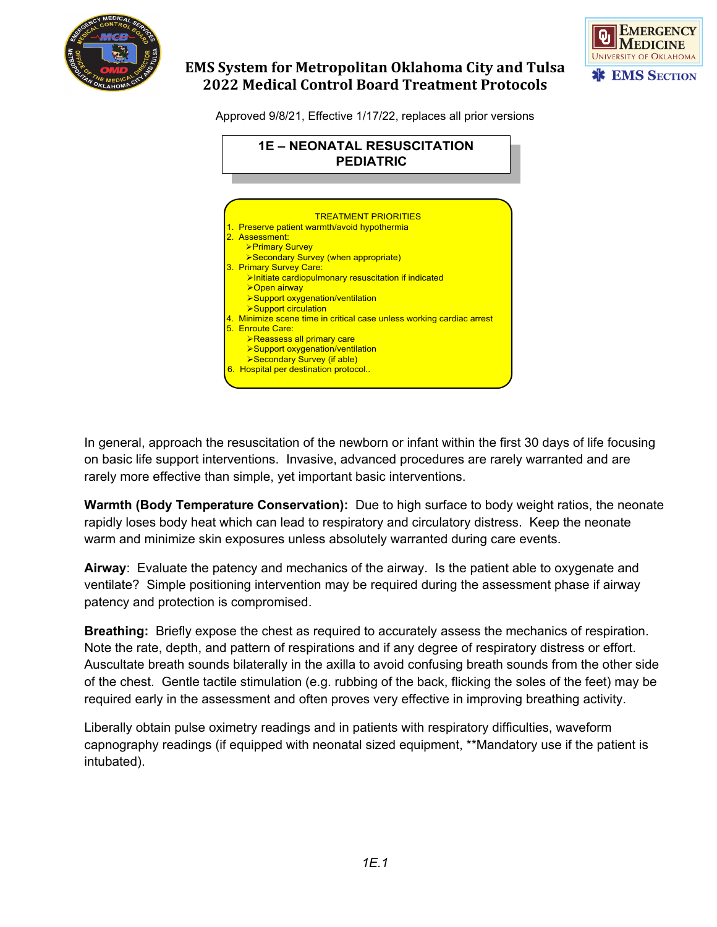



# **EMS System for Metropolitan Oklahoma City and Tulsa 2022 Medical Control Board Treatment Protocols**

Approved 9/8/21, Effective 1/17/22, replaces all prior versions



In general, approach the resuscitation of the newborn or infant within the first 30 days of life focusing on basic life support interventions. Invasive, advanced procedures are rarely warranted and are rarely more effective than simple, yet important basic interventions.

**Warmth (Body Temperature Conservation):** Due to high surface to body weight ratios, the neonate rapidly loses body heat which can lead to respiratory and circulatory distress. Keep the neonate warm and minimize skin exposures unless absolutely warranted during care events.

**Airway**: Evaluate the patency and mechanics of the airway. Is the patient able to oxygenate and ventilate? Simple positioning intervention may be required during the assessment phase if airway patency and protection is compromised.

**Breathing:** Briefly expose the chest as required to accurately assess the mechanics of respiration. Note the rate, depth, and pattern of respirations and if any degree of respiratory distress or effort. Auscultate breath sounds bilaterally in the axilla to avoid confusing breath sounds from the other side of the chest. Gentle tactile stimulation (e.g. rubbing of the back, flicking the soles of the feet) may be required early in the assessment and often proves very effective in improving breathing activity.

Liberally obtain pulse oximetry readings and in patients with respiratory difficulties, waveform capnography readings (if equipped with neonatal sized equipment, \*\*Mandatory use if the patient is intubated).